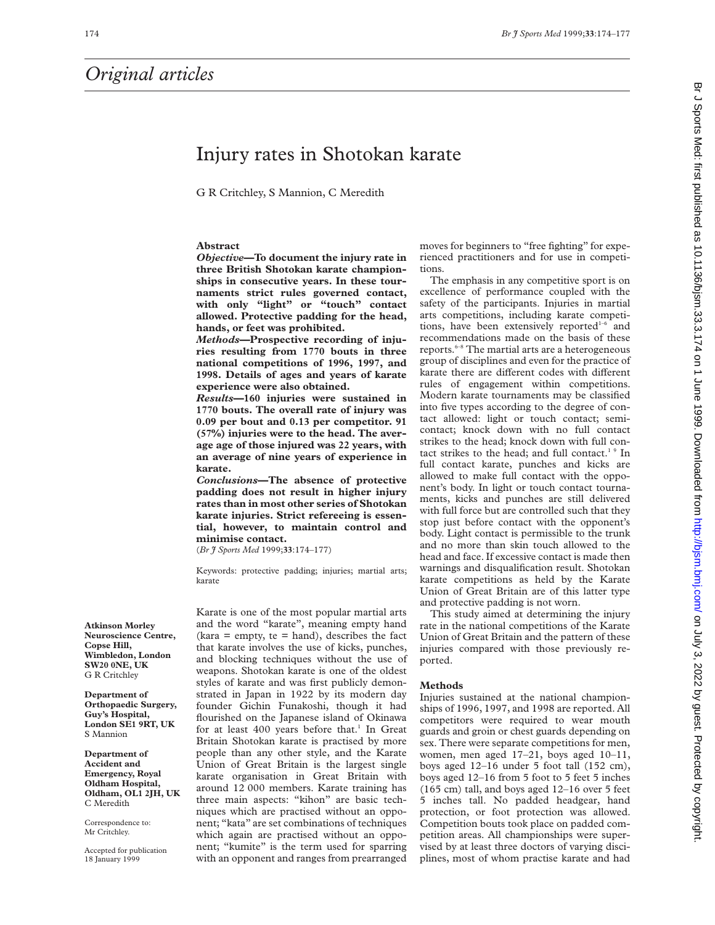## Injury rates in Shotokan karate

G R Critchley, S Mannion, C Meredith

#### **Abstract**

*Objective***—To document the injury rate in three British Shotokan karate championships in consecutive years. In these tournaments strict rules governed contact, with only "light" or "touch" contact allowed. Protective padding for the head, hands, or feet was prohibited.**

*Methods***—Prospective recording of injuries resulting from 1770 bouts in three national competitions of 1996, 1997, and 1998. Details of ages and years of karate experience were also obtained.**

*Results***—160 injuries were sustained in 1770 bouts. The overall rate of injury was 0.09 per bout and 0.13 per competitor. 91 (57%) injuries were to the head. The average age of those injured was 22 years, with an average of nine years of experience in karate.**

*Conclusions***—The absence of protective padding does not result in higher injury rates than in most other series of Shotokan karate injuries. Strict refereeing is essential, however, to maintain control and minimise contact.**

(*Br J Sports Med* 1999;**33**:174–177)

Keywords: protective padding; injuries; martial arts; karate

Karate is one of the most popular martial arts and the word "karate", meaning empty hand  $(kara = empty, te = hand),$  describes the fact that karate involves the use of kicks, punches, and blocking techniques without the use of weapons. Shotokan karate is one of the oldest styles of karate and was first publicly demonstrated in Japan in 1922 by its modern day founder Gichin Funakoshi, though it had flourished on the Japanese island of Okinawa for at least  $400$  years before that.<sup>1</sup> In Great Britain Shotokan karate is practised by more people than any other style, and the Karate Union of Great Britain is the largest single karate organisation in Great Britain with around 12 000 members. Karate training has three main aspects: "kihon" are basic techniques which are practised without an opponent; "kata" are set combinations of techniques which again are practised without an opponent; "kumite" is the term used for sparring with an opponent and ranges from prearranged moves for beginners to "free fighting" for experienced practitioners and for use in competitions.

The emphasis in any competitive sport is on excellence of performance coupled with the safety of the participants. Injuries in martial arts competitions, including karate competitions, have been extensively reported $1-6$  and recommendations made on the basis of these reports.6–8 The martial arts are a heterogeneous group of disciplines and even for the practice of karate there are different codes with different rules of engagement within competitions. Modern karate tournaments may be classified into five types according to the degree of contact allowed: light or touch contact; semicontact; knock down with no full contact strikes to the head; knock down with full contact strikes to the head; and full contact.<sup>1</sup>  $9$  In full contact karate, punches and kicks are allowed to make full contact with the opponent's body. In light or touch contact tournaments, kicks and punches are still delivered with full force but are controlled such that they stop just before contact with the opponent's body. Light contact is permissible to the trunk and no more than skin touch allowed to the head and face. If excessive contact is made then warnings and disqualification result. Shotokan karate competitions as held by the Karate Union of Great Britain are of this latter type and protective padding is not worn.

This study aimed at determining the injury rate in the national competitions of the Karate Union of Great Britain and the pattern of these injuries compared with those previously reported.

#### **Methods**

Injuries sustained at the national championships of 1996, 1997, and 1998 are reported. All competitors were required to wear mouth guards and groin or chest guards depending on sex. There were separate competitions for men, women, men aged 17–21, boys aged 10–11, boys aged 12–16 under 5 foot tall (152 cm), boys aged 12–16 from 5 foot to 5 feet 5 inches (165 cm) tall, and boys aged 12–16 over 5 feet 5 inches tall. No padded headgear, hand protection, or foot protection was allowed. Competition bouts took place on padded competition areas. All championships were supervised by at least three doctors of varying disciplines, most of whom practise karate and had

**Atkinson Morley Neuroscience Centre, Copse Hill, Wimbledon, London SW20 0NE, UK** G R Critchley

**Department of Orthopaedic Surgery, Guy's Hospital, London SE1 9RT, UK** S Mannion

**Department of Accident and Emergency, Royal Oldham Hospital, Oldham, OL1 2JH, UK** C Meredith

Correspondence to: Mr Critchley.

Accepted for publication 18 January 1999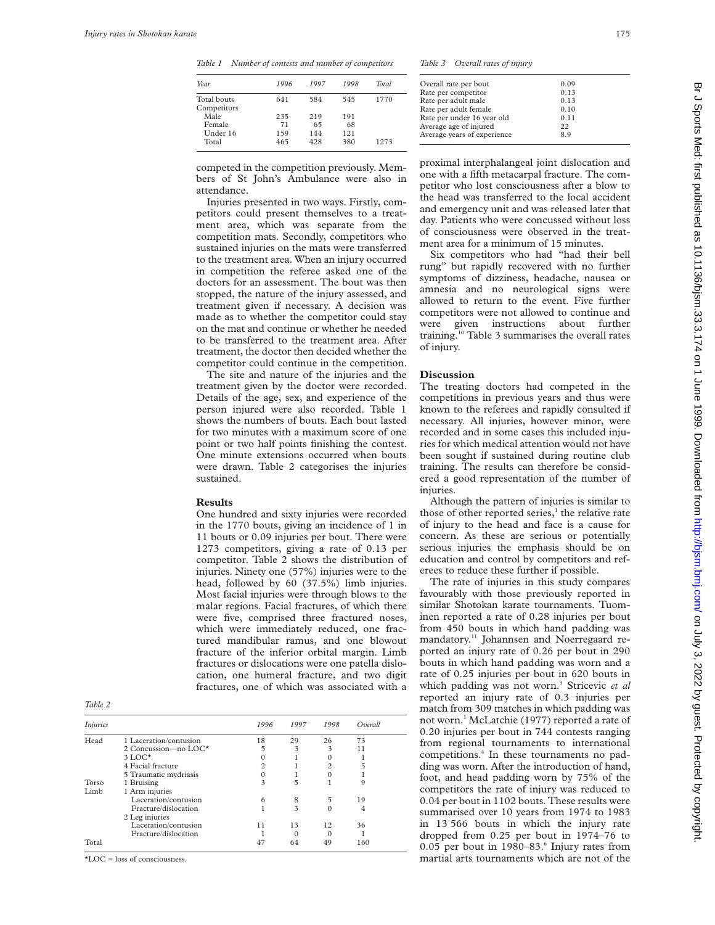*Table 1 Number of contests and number of competitors*

| Year        | 1996 | 1997 | 1998 | <b>Total</b> |  |
|-------------|------|------|------|--------------|--|
| Total bouts | 641  | 584  | 545  | 1770         |  |
| Competitors |      |      |      |              |  |
| Male        | 235  | 219  | 191  |              |  |
| Female      | 71   | 65   | 68   |              |  |
| Under 16    | 159  | 144  | 121  |              |  |
| Total       | 465  | 428  | 380  | 1273         |  |
|             |      |      |      |              |  |

*Table 3 Overall rates of injury*

| Overall rate per bout       | 0.09 |
|-----------------------------|------|
| Rate per competitor         | 0.13 |
| Rate per adult male         | 0.13 |
| Rate per adult female       | 0.10 |
| Rate per under 16 year old  | 0.11 |
| Average age of injured      | 22.  |
| Average years of experience | 8.9  |

competed in the competition previously. Members of St John's Ambulance were also in attendance.

Injuries presented in two ways. Firstly, competitors could present themselves to a treatment area, which was separate from the competition mats. Secondly, competitors who sustained injuries on the mats were transferred to the treatment area. When an injury occurred in competition the referee asked one of the doctors for an assessment. The bout was then stopped, the nature of the injury assessed, and treatment given if necessary. A decision was made as to whether the competitor could stay on the mat and continue or whether he needed to be transferred to the treatment area. After treatment, the doctor then decided whether the competitor could continue in the competition.

The site and nature of the injuries and the treatment given by the doctor were recorded. Details of the age, sex, and experience of the person injured were also recorded. Table 1 shows the numbers of bouts. Each bout lasted for two minutes with a maximum score of one point or two half points finishing the contest. One minute extensions occurred when bouts were drawn. Table 2 categorises the injuries sustained.

#### **Results**

One hundred and sixty injuries were recorded in the 1770 bouts, giving an incidence of 1 in 11 bouts or 0.09 injuries per bout. There were 1273 competitors, giving a rate of 0.13 per competitor. Table 2 shows the distribution of injuries. Ninety one (57%) injuries were to the head, followed by 60 (37.5%) limb injuries. Most facial injuries were through blows to the malar regions. Facial fractures, of which there were five, comprised three fractured noses, which were immediately reduced, one fractured mandibular ramus, and one blowout fracture of the inferior orbital margin. Limb fractures or dislocations were one patella dislocation, one humeral fracture, and two digit fractures, one of which was associated with a

*Table 2*

| <i>Injuries</i> |                        | 1996 | 1997 | 1998           | Overall |
|-----------------|------------------------|------|------|----------------|---------|
| Head            | 1 Laceration/contusion | 18   | 29   | 26             | 73      |
|                 | 2 Concussion-no LOC*   | 5    | 3    | 3              | 11      |
|                 | $3$ LOC*               |      |      |                |         |
|                 | 4 Facial fracture      | 2    |      | $\overline{c}$ |         |
|                 | 5 Traumatic mydriasis  |      |      |                |         |
| Torso           | 1 Bruising             | 3    | 5    |                | 9       |
| Limb            | 1 Arm injuries         |      |      |                |         |
|                 | Laceration/contusion   | 6    | 8    | 5              | 19      |
|                 | Fracture/dislocation   |      | 3    | 0              | 4       |
|                 | 2 Leg injuries         |      |      |                |         |
|                 | Laceration/contusion   | 11   | 13   | 12             | 36      |
|                 | Fracture/dislocation   |      |      |                |         |
| Total           |                        |      | 64   | 49             | 160     |

\*LOC = loss of consciousness.

proximal interphalangeal joint dislocation and one with a fifth metacarpal fracture. The competitor who lost consciousness after a blow to the head was transferred to the local accident and emergency unit and was released later that day. Patients who were concussed without loss of consciousness were observed in the treatment area for a minimum of 15 minutes.

Six competitors who had "had their bell rung" but rapidly recovered with no further symptoms of dizziness, headache, nausea or amnesia and no neurological signs were allowed to return to the event. Five further competitors were not allowed to continue and were given instructions about further training.10 Table 3 summarises the overall rates of injury.

#### **Discussion**

The treating doctors had competed in the competitions in previous years and thus were known to the referees and rapidly consulted if necessary. All injuries, however minor, were recorded and in some cases this included injuries for which medical attention would not have been sought if sustained during routine club training. The results can therefore be considered a good representation of the number of injuries.

Although the pattern of injuries is similar to those of other reported series,<sup>1</sup> the relative rate of injury to the head and face is a cause for concern. As these are serious or potentially serious injuries the emphasis should be on education and control by competitors and referees to reduce these further if possible.

The rate of injuries in this study compares favourably with those previously reported in similar Shotokan karate tournaments. Tuominen reported a rate of 0.28 injuries per bout from 450 bouts in which hand padding was mandatory.11 Johannsen and Noerregaard reported an injury rate of 0.26 per bout in 290 bouts in which hand padding was worn and a rate of 0.25 injuries per bout in 620 bouts in which padding was not worn.<sup>3</sup> Stricevic et al reported an injury rate of 0.3 injuries per match from 309 matches in which padding was not worn.<sup>1</sup> McLatchie (1977) reported a rate of 0.20 injuries per bout in 744 contests ranging from regional tournaments to international competitions.4 In these tournaments no padding was worn. After the introduction of hand, foot, and head padding worn by 75% of the competitors the rate of injury was reduced to 0.04 per bout in 1102 bouts. These results were summarised over 10 years from 1974 to 1983 in 13 566 bouts in which the injury rate dropped from 0.25 per bout in 1974–76 to 0.05 per bout in  $1980-83$ .<sup>6</sup> Injury rates from martial arts tournaments which are not of the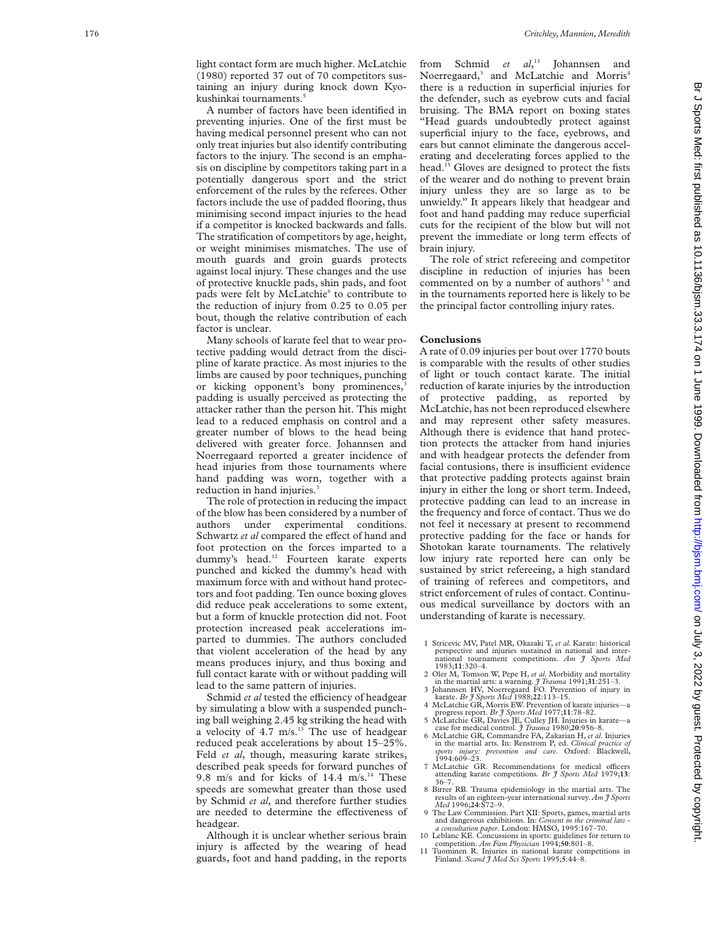light contact form are much higher. McLatchie (1980) reported 37 out of 70 competitors sustaining an injury during knock down Kyokushinkai tournaments.<sup>5</sup>

A number of factors have been identified in preventing injuries. One of the first must be having medical personnel present who can not only treat injuries but also identify contributing factors to the injury. The second is an emphasis on discipline by competitors taking part in a potentially dangerous sport and the strict enforcement of the rules by the referees. Other factors include the use of padded flooring, thus minimising second impact injuries to the head if a competitor is knocked backwards and falls. The stratification of competitors by age, height, or weight minimises mismatches. The use of mouth guards and groin guards protects against local injury. These changes and the use of protective knuckle pads, shin pads, and foot pads were felt by McLatchie<sup>6</sup> to contribute to the reduction of injury from 0.25 to 0.05 per bout, though the relative contribution of each factor is unclear.

Many schools of karate feel that to wear protective padding would detract from the discipline of karate practice. As most injuries to the limbs are caused by poor techniques, punching or kicking opponent's bony prominences, 3 padding is usually perceived as protecting the attacker rather than the person hit. This might lead to a reduced emphasis on control and a greater number of blows to the head being delivered with greater force. Johannsen and Noerregaard reported a greater incidence of head injuries from those tournaments where hand padding was worn, together with a reduction in hand injuries. 3

The role of protection in reducing the impact of the blow has been considered by a number of authors under experimental conditions. Schwartz et al compared the effect of hand and foot protection on the forces imparted to a dummy's head.<sup>12</sup> Fourteen karate experts punched and kicked the dummy's head with maximum force with and without hand protectors and foot padding. Ten ounce boxing gloves did reduce peak accelerations to some extent, but a form of knuckle protection did not. Foot protection increased peak accelerations imparted to dummies. The authors concluded that violent acceleration of the head by any means produces injury, and thus boxing and full contact karate with or without padding will lead to the same pattern of injuries.

Schmid et al tested the efficiency of headgear by simulating a blow with a suspended punching ball weighing 2.45 kg striking the head with a velocity of  $4.7 \text{ m/s}$ .<sup>13</sup> The use of headgear reduced peak accelerations by about 15–25%. Feld *et al*, though, measuring karate strikes, described peak speeds for forward punches of 9.8 m/s and for kicks of  $14.4$  m/s.<sup>14</sup> These speeds are somewhat greater than those used by Schmid *et al,* and therefore further studies are needed to determine the effectiveness of headgear.

Although it is unclear whether serious brain injury is affected by the wearing of head guards, foot and hand padding, in the reports

from Schmid *et al*, <sup>13</sup> Johannsen and Noerregaard, <sup>3</sup> and McLatchie and Morris 4 there is a reduction in superficial injuries for the defender, such as eyebrow cuts and facial bruising. The BMA report on boxing states "Head guards undoubtedly protect against superficial injury to the face, eyebrows, and ears but cannot eliminate the dangerous accelerating and decelerating forces applied to the head.15 Gloves are designed to protect the fists of the wearer and do nothing to prevent brain injury unless they are so large as to be unwieldy." It appears likely that headgear and foot and hand padding may reduce superficial cuts for the recipient of the blow but will not prevent the immediate or long term effects of brain injury.

The role of strict refereeing and competitor discipline in reduction of injuries has been commented on by a number of authors<sup>36</sup> and in the tournaments reported here is likely to be the principal factor controlling injury rates.

#### **Conclusions**

A rate of 0.09 injuries per bout over 1770 bouts is comparable with the results of other studies of light or touch contact karate. The initial reduction of karate injuries by the introduction of protective padding, as reported by McLatchie, has not been reproduced elsewhere and may represent other safety measures. Although there is evidence that hand protection protects the attacker from hand injuries and with headgear protects the defender from facial contusions, there is insufficient evidence that protective padding protects against brain injury in either the long or short term. Indeed, protective padding can lead to an increase in the frequency and force of contact. Thus we do not feel it necessary at present to recommend protective padding for the face or hands for Shotokan karate tournaments. The relatively low injury rate reported here can only be sustained by strict refereeing, a high standard of training of referees and competitors, and strict enforcement of rules of contact. Continuous medical surveillance by doctors with an understanding of karate is necessary.

- 1 Stricevic MV, Patel MR, Okazaki T, *et al.* Karate: historical perspective and injuries sustained in national and international tournament competitions. *Am J Sports Med* 1983;**11**:320–4.
- 2 Oler M, Tomson W, Pepe H, *et al.* Morbidity and mortality
- in the martial arts: a warning. *J Trauma* 1991;**31**:251–3. 3 Johannsen HV, Noerregaard FO. Prevention of injury in karate. *Br J Sports Med* 1988;**22**:113–15.
- 
- 4 McLatchie GR, Morris EW. Prevention of karate injuries—a progress report. *Br J Sports Med* 1977;**11**:78–82. 5 McLatchie GR, Davies JE, Culley JH. Injuries in karate—a
- case for medical control. *J Trauma* 1980;**20**:956–8. 6 McLatchie GR, Commandre FA, Zakarian H, *et al*. Injuries
- in the martial arts. In: Renstrom P, ed. *Clinical practice of sports injury: prevention and care*. Oxford: Blackwell,  $1994:609 - 23$
- 7 McLatchie GR. Recommendations for medical officers attending karate competitions. *Br J Sports Med* 1979;13: 36-7.
- 8 Birrer RB. Trauma epidemiology in the martial arts. The results of an eighteen-year international survey. *Am J Sports Med* 1996;**24**:S72–9.
- 9 The Law Commission. Part XII: Sports, games, martial arts and dangerous exhibitions. In: *Consent in the criminal law - a consultation paper*. London: HMSO, 1995:167–70. 10 Leblanc KE. Concussions in sports: guidelines for return to
- competition. *Am Fam Physician* 1994;**50**:801–8.
- 11 Tuominen R. Injuries in national karate competitions in Finland. *Scand J Med Sci Sports* 1995; **5**:44–8.